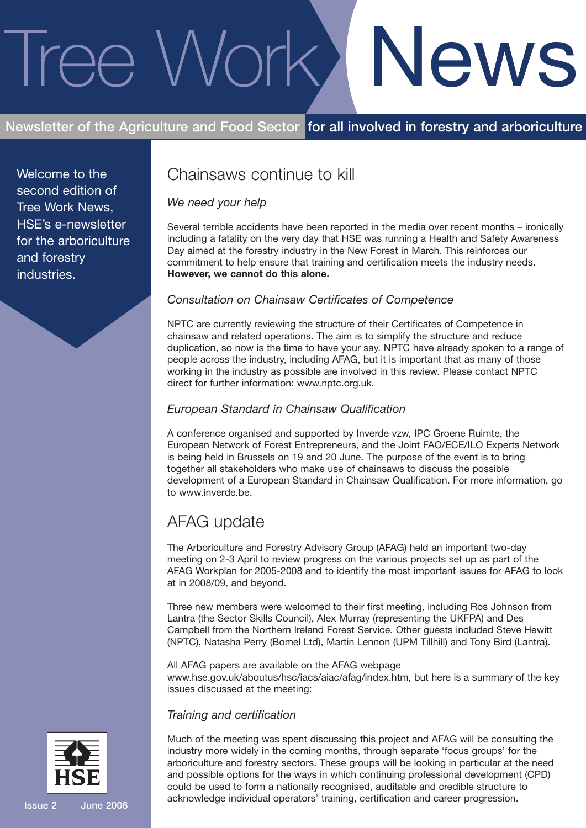# Tree Work News

# **Newsletter of the Agriculture and Food Sector for all involved in forestry and arboriculture**

Welcome to the second edition of Tree Work News, HSE's e-newsletter for the arboriculture and forestry industries.

# Chainsaws continue to kill

### *We need your help*

Several terrible accidents have been reported in the media over recent months – ironically including a fatality on the very day that HSE was running a Health and Safety Awareness Day aimed at the forestry industry in the New Forest in March. This reinforces our commitment to help ensure that training and certification meets the industry needs. **However, we cannot do this alone.**

### *Consultation on Chainsaw Certificates of Competence*

NPTC are currently reviewing the structure of their Certificates of Competence in chainsaw and related operations. The aim is to simplify the structure and reduce duplication, so now is the time to have your say. NPTC have already spoken to a range of people across the industry, including AFAG, but it is important that as many of those working in the industry as possible are involved in this review. Please contact NPTC direct for further information: www.nptc.org.uk.

### *European Standard in Chainsaw Qualification*

A conference organised and supported by Inverde vzw, IPC Groene Ruimte, the European Network of Forest Entrepreneurs, and the Joint FAO/ECE/ILO Experts Network is being held in Brussels on 19 and 20 June. The purpose of the event is to bring together all stakeholders who make use of chainsaws to discuss the possible development of a European Standard in Chainsaw Qualification. For more information, go to www.inverde.be.

# AFAG update

The Arboriculture and Forestry Advisory Group (AFAG) held an important two-day meeting on 2-3 April to review progress on the various projects set up as part of the AFAG Workplan for 2005-2008 and to identify the most important issues for AFAG to look at in 2008/09, and beyond.

Three new members were welcomed to their first meeting, including Ros Johnson from Lantra (the Sector Skills Council), Alex Murray (representing the UKFPA) and Des Campbell from the Northern Ireland Forest Service. Other guests included Steve Hewitt (NPTC), Natasha Perry (Bomel Ltd), Martin Lennon (UPM Tillhill) and Tony Bird (Lantra).

All AFAG papers are available on the AFAG webpage www.hse.gov.uk/aboutus/hsc/iacs/aiac/afag/index.htm, but here is a summary of the key issues discussed at the meeting:

### *Training and certification*

Much of the meeting was spent discussing this project and AFAG will be consulting the industry more widely in the coming months, through separate 'focus groups' for the arboriculture and forestry sectors. These groups will be looking in particular at the need and possible options for the ways in which continuing professional development (CPD) could be used to form a nationally recognised, auditable and credible structure to acknowledge individual operators' training, certification and career progression.

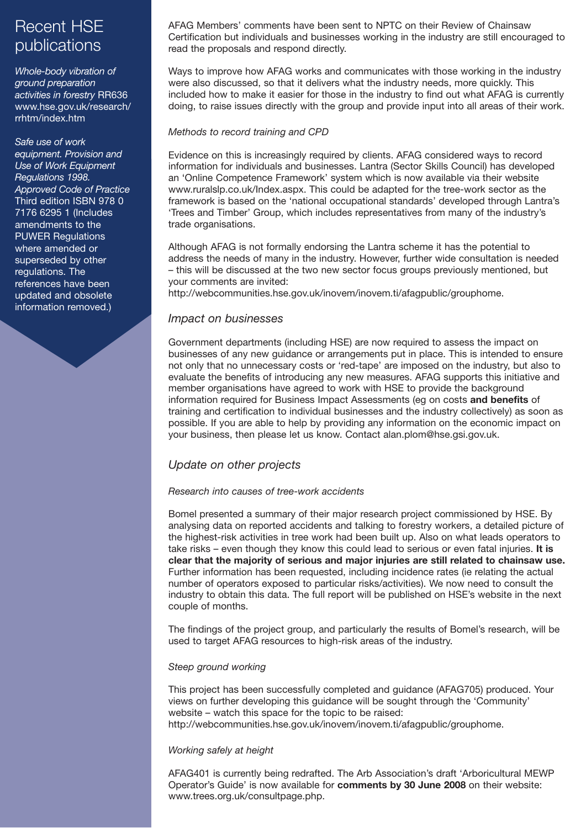# Recent HSE publications

*Whole-body vibration of ground preparation activities in forestry* RR636 www.hse.gov.uk/research/ rrhtm/index.htm

*Safe use of work equipment. Provision and Use of Work Equipment Regulations 1998. Approved Code of Practice* Third edition ISBN 978 0 7176 6295 1 (Includes amendments to the PUWER Regulations where amended or superseded by other regulations. The references have been updated and obsolete information removed.)

AFAG Members' comments have been sent to NPTC on their Review of Chainsaw Certification but individuals and businesses working in the industry are still encouraged to read the proposals and respond directly.

Ways to improve how AFAG works and communicates with those working in the industry were also discussed, so that it delivers what the industry needs, more quickly. This included how to make it easier for those in the industry to find out what AFAG is currently doing, to raise issues directly with the group and provide input into all areas of their work.

### *Methods to record training and CPD*

Evidence on this is increasingly required by clients. AFAG considered ways to record information for individuals and businesses. Lantra (Sector Skills Council) has developed an 'Online Competence Framework' system which is now available via their website www.ruralslp.co.uk/Index.aspx. This could be adapted for the tree-work sector as the framework is based on the 'national occupational standards' developed through Lantra's 'Trees and Timber' Group, which includes representatives from many of the industry's trade organisations.

Although AFAG is not formally endorsing the Lantra scheme it has the potential to address the needs of many in the industry. However, further wide consultation is needed – this will be discussed at the two new sector focus groups previously mentioned, but your comments are invited:

http://webcommunities.hse.gov.uk/inovem/inovem.ti/afagpublic/grouphome.

### *Impact on businesses*

Government departments (including HSE) are now required to assess the impact on businesses of any new guidance or arrangements put in place. This is intended to ensure not only that no unnecessary costs or 'red-tape' are imposed on the industry, but also to evaluate the benefits of introducing any new measures. AFAG supports this initiative and member organisations have agreed to work with HSE to provide the background information required for Business Impact Assessments (eg on costs **and benefits** of training and certification to individual businesses and the industry collectively) as soon as possible. If you are able to help by providing any information on the economic impact on your business, then please let us know. Contact alan.plom@hse.gsi.gov.uk.

### *Update on other projects*

### *Research into causes of tree-work accidents*

Bomel presented a summary of their major research project commissioned by HSE. By analysing data on reported accidents and talking to forestry workers, a detailed picture of the highest-risk activities in tree work had been built up. Also on what leads operators to take risks – even though they know this could lead to serious or even fatal injuries. **It is clear that the majority of serious and major injuries are still related to chainsaw use.** Further information has been requested, including incidence rates (ie relating the actual number of operators exposed to particular risks/activities). We now need to consult the industry to obtain this data. The full report will be published on HSE's website in the next couple of months.

The findings of the project group, and particularly the results of Bomel's research, will be used to target AFAG resources to high-risk areas of the industry.

### *Steep ground working*

This project has been successfully completed and guidance (AFAG705) produced. Your views on further developing this guidance will be sought through the 'Community' website – watch this space for the topic to be raised: http://webcommunities.hse.gov.uk/inovem/inovem.ti/afagpublic/grouphome.

### *Working safely at height*

AFAG401 is currently being redrafted. The Arb Association's draft 'Arboricultural MEWP Operator's Guide' is now available for **comments by 30 June 2008** on their website: www.trees.org.uk/consultpage.php.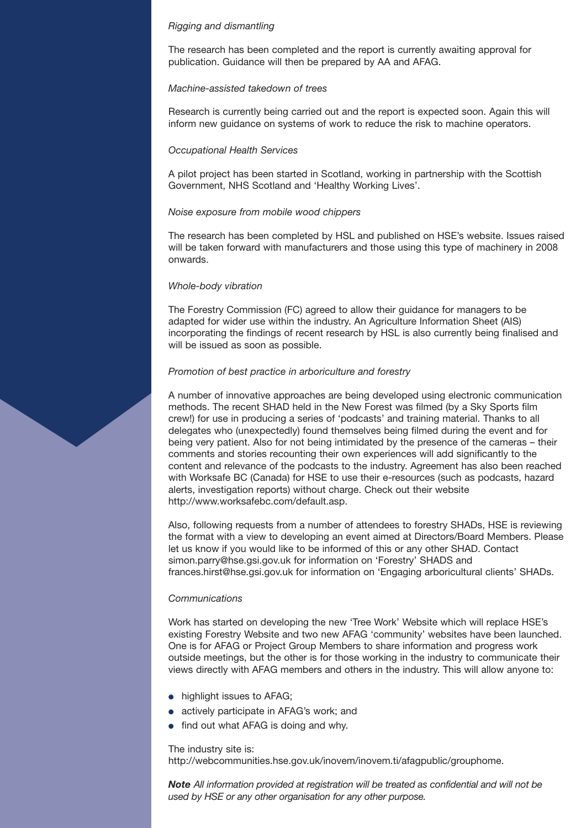### *Rigging and dismantling*

The research has been completed and the report is currently awaiting approval for publication. Guidance will then be prepared by AA and AFAG.

### *Machine-assisted takedown of trees*

Research is currently being carried out and the report is expected soon. Again this will inform new guidance on systems of work to reduce the risk to machine operators.

### *Occupational Health Services*

A pilot project has been started in Scotland, working in partnership with the Scottish Government, NHS Scotland and 'Healthy Working Lives'.

### *Noise exposure from mobile wood chippers*

The research has been completed by HSL and published on HSE's website. Issues raised will be taken forward with manufacturers and those using this type of machinery in 2008 onwards.

### *Whole-body vibration*

The Forestry Commission (FC) agreed to allow their guidance for managers to be adapted for wider use within the industry. An Agriculture Information Sheet (AIS) incorporating the findings of recent research by HSL is also currently being finalised and will be issued as soon as possible.

### *Promotion of best practice in arboriculture and forestry*

A number of innovative approaches are being developed using electronic communication methods. The recent SHAD held in the New Forest was filmed (by a Sky Sports film crew!) for use in producing a series of 'podcasts' and training material. Thanks to all delegates who (unexpectedly) found themselves being filmed during the event and for being very patient. Also for not being intimidated by the presence of the cameras – their comments and stories recounting their own experiences will add significantly to the content and relevance of the podcasts to the industry. Agreement has also been reached with Worksafe BC (Canada) for HSE to use their e-resources (such as podcasts, hazard alerts, investigation reports) without charge. Check out their website http://www.worksafebc.com/default.asp.

Also, following requests from a number of attendees to forestry SHADs, HSE is reviewing the format with a view to developing an event aimed at Directors/Board Members. Please let us know if you would like to be informed of this or any other SHAD. Contact simon.parry@hse.gsi.gov.uk for information on 'Forestry' SHADS and frances.hirst@hse.gsi.gov.uk for information on 'Engaging arboricultural clients' SHADs.

### *Communications*

Work has started on developing the new 'Tree Work' Website which will replace HSE's existing Forestry Website and two new AFAG 'community' websites have been launched. One is for AFAG or Project Group Members to share information and progress work outside meetings, but the other is for those working in the industry to communicate their views directly with AFAG members and others in the industry. This will allow anyone to:

- **●** highlight issues to AFAG;
- **●** actively participate in AFAG's work; and
- find out what AFAG is doing and why.

### The industry site is:

http://webcommunities.hse.gov.uk/inovem/inovem.ti/afagpublic/grouphome.

*Note All information provided at registration will be treated as confidential and will not be used by HSE or any other organisation for any other purpose.*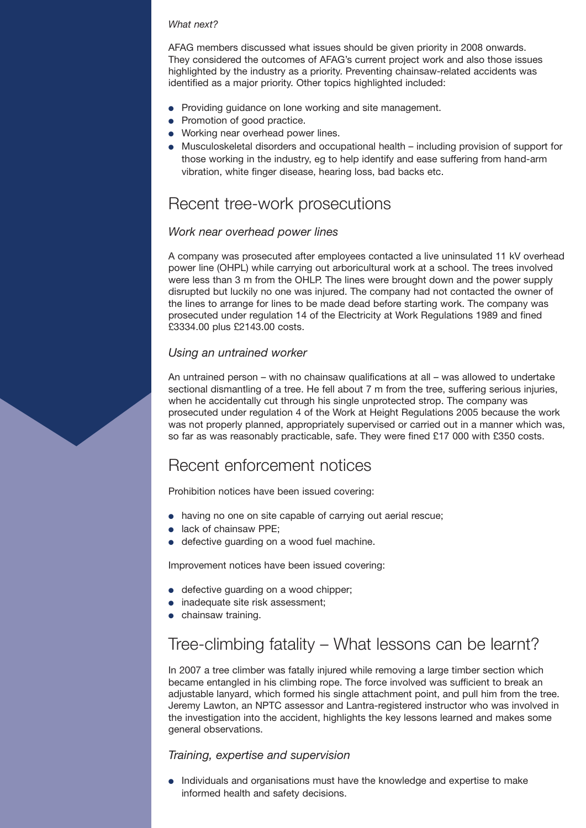### *What next?*

AFAG members discussed what issues should be given priority in 2008 onwards. They considered the outcomes of AFAG's current project work and also those issues highlighted by the industry as a priority. Preventing chainsaw-related accidents was identified as a major priority. Other topics highlighted included:

- **●** Providing guidance on lone working and site management.
- **●** Promotion of good practice.
- **●** Working near overhead power lines.
- **●** Musculoskeletal disorders and occupational health including provision of support for those working in the industry, eg to help identify and ease suffering from hand-arm vibration, white finger disease, hearing loss, bad backs etc.

## Recent tree-work prosecutions

### *Work near overhead power lines*

A company was prosecuted after employees contacted a live uninsulated 11 kV overhead power line (OHPL) while carrying out arboricultural work at a school. The trees involved were less than 3 m from the OHLP. The lines were brought down and the power supply disrupted but luckily no one was injured. The company had not contacted the owner of the lines to arrange for lines to be made dead before starting work. The company was prosecuted under regulation 14 of the Electricity at Work Regulations 1989 and fined £3334.00 plus £2143.00 costs.

### *Using an untrained worker*

An untrained person – with no chainsaw qualifications at all – was allowed to undertake sectional dismantling of a tree. He fell about 7 m from the tree, suffering serious injuries, when he accidentally cut through his single unprotected strop. The company was prosecuted under regulation 4 of the Work at Height Regulations 2005 because the work was not properly planned, appropriately supervised or carried out in a manner which was, so far as was reasonably practicable, safe. They were fined £17 000 with £350 costs.

# Recent enforcement notices

Prohibition notices have been issued covering:

- **●** having no one on site capable of carrying out aerial rescue;
- **●** lack of chainsaw PPE;
- **●** defective guarding on a wood fuel machine.

Improvement notices have been issued covering:

- **●** defective guarding on a wood chipper;
- **●** inadequate site risk assessment;
- **●** chainsaw training.

# Tree-climbing fatality – What lessons can be learnt?

In 2007 a tree climber was fatally injured while removing a large timber section which became entangled in his climbing rope. The force involved was sufficient to break an adjustable lanyard, which formed his single attachment point, and pull him from the tree. Jeremy Lawton, an NPTC assessor and Lantra-registered instructor who was involved in the investigation into the accident, highlights the key lessons learned and makes some general observations.

### *Training, expertise and supervision*

**●** Individuals and organisations must have the knowledge and expertise to make informed health and safety decisions.